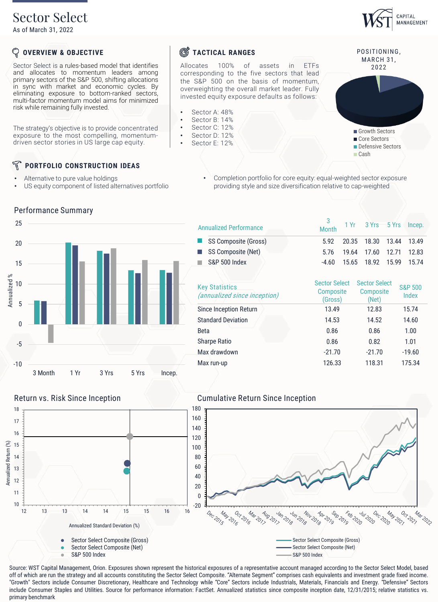## Sector Select

As of March 31, 2022

#### ${\mathbb Q}$ **OVERVIEW & OBJECTIVE**

Sector Select is a rules-based model that identifies and allocates to momentum leaders among primary sectors of the S&P 500, shifting allocations in sync with market and economic cycles. By eliminating exposure to bottom-ranked sectors, multi-factor momentum model aims for minimized risk while remaining fully invested.

The strategy's objective is to provide concentrated exposure to the most compelling, momentumdriven sector stories in US large cap equity.

#### N **PORTFOLIO CONSTRUCTION IDEAS**

Alternative to pure value holdings

Performance Summary

• US equity component of listed alternatives portfolio

• Completion portfolio for core equity: equal-weighted sector exposure providing style and size diversification relative to cap-weighted



|  | <b>Annualized Performance</b>                                | 3<br>Month                                          | 1 Yr          | 3 Yrs 5 Yrs                                |       | Incep.                      |  |
|--|--------------------------------------------------------------|-----------------------------------------------------|---------------|--------------------------------------------|-------|-----------------------------|--|
|  | SS Composite (Gross)                                         | 5.92                                                | 20.35         | 18.30                                      | 13.44 | 13.49                       |  |
|  | SS Composite (Net)                                           | 5.76                                                | 19.64         | 17.60                                      | 12.71 | 12.83                       |  |
|  | S&P 500 Index                                                | $-4.60$                                             | 15.65         | 18.92                                      | 15.99 | 15.74                       |  |
|  | <b>Key Statistics</b><br><i>(annualized since inception)</i> | <b>Sector Select</b><br><b>Composite</b><br>(Gross) |               | <b>Sector Select</b><br>Composite<br>(Net) |       | <b>S&amp;P 500</b><br>Index |  |
|  | <b>Since Inception Return</b>                                | 13.49                                               |               | 12.83                                      |       | 15.74                       |  |
|  | <b>Standard Deviation</b>                                    |                                                     | 14.53<br>0.86 |                                            |       | 14.60<br>1.00               |  |
|  | <b>Beta</b>                                                  |                                                     |               |                                            |       |                             |  |
|  | <b>Sharpe Ratio</b>                                          | 0.86                                                |               | 0.82                                       |       | 1.01                        |  |
|  | Max drawdown                                                 | $-21.70$                                            |               | $-21.70$                                   |       | $-19.60$                    |  |
|  | Max run-up                                                   | 126.33                                              |               | 118.31                                     |       | 175.34                      |  |



Annualized Return (%)

Annualized Return (%)



Source: WST Capital Management, Orion. Exposures shown represent the historical exposures of a representative account managed according to the Sector Select Model, based off of which are run the strategy and all accounts constituting the Sector Select Composite. "Alternate Segment" comprises cash equivalents and investment grade fixed income. "Growth" Sectors include Consumer Discretionary, Healthcare and Technology while "Core" Sectors include Industrials, Materials, Financials and Energy. "Defensive" Sectors include Consumer Staples and Utilities. Source for performance information: FactSet. Annualized statistics since composite inception date, 12/31/2015; relative statistics vs. primary benchmark

## **S**TACTICAL RANGES

Allocates 100% of assets in ETFs corresponding to the five sectors that lead the S&P 500 on the basis of momentum, overweighting the overall market leader. Fully invested equity exposure defaults as follows:

- Sector A: 48%
- Sector B: 14%
- Sector C: 12% Sector D: 12%
- Sector E: 12%





20 x 2021

27<br>Pot 2027<br>Pot 2027 Mar 2022

POSITIONING,